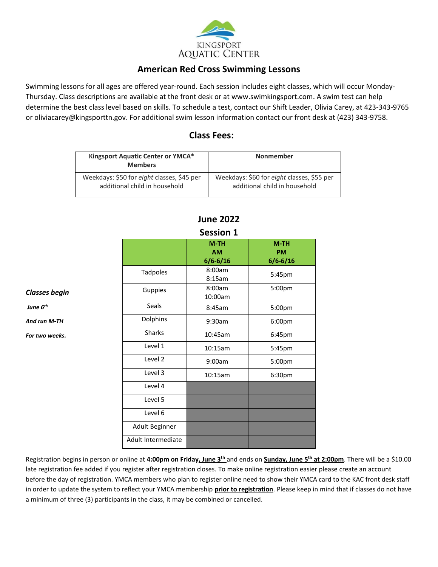

# **American Red Cross Swimming Lessons**

Swimming lessons for all ages are offered year-round. Each session includes eight classes, which will occur Monday-Thursday. Class descriptions are available at the front desk or a[t www.swimkingsport.com.](http://www.swimkingsport.com/) A swim test can help determine the best class level based on skills. To schedule a test, contact our Shift Leader, Olivia Carey, at 423-343-9765 or oliviacarey@kingsporttn.gov. For additional swim lesson information contact our front desk at (423) 343-9758.

# **Class Fees:**

| Kingsport Aquatic Center or YMCA*<br><b>Members</b> | <b>Nonmember</b>                           |
|-----------------------------------------------------|--------------------------------------------|
| Weekdays: \$50 for eight classes, \$45 per          | Weekdays: \$60 for eight classes, \$55 per |
| additional child in household                       | additional child in household              |

| JEJJIUII I                          |                                     |  |
|-------------------------------------|-------------------------------------|--|
| $M-TH$<br><b>AM</b><br>$6/6 - 6/16$ | $M-TH$<br><b>PM</b><br>$6/6 - 6/16$ |  |
| 8:00am<br>8:15am                    | 5:45pm                              |  |
| 8:00am<br>10:00am                   | 5:00pm                              |  |
| 8:45am                              | 5:00pm                              |  |
| 9:30am                              | 6:00pm                              |  |
| 10:45am                             | 6:45pm                              |  |
| 10:15am                             | 5:45pm                              |  |
| 9:00am                              | 5:00pm                              |  |
| 10:15am                             | 6:30pm                              |  |
|                                     |                                     |  |
|                                     |                                     |  |
|                                     |                                     |  |
|                                     |                                     |  |
|                                     |                                     |  |
|                                     |                                     |  |

*Classes begin* 

*And run M-TH For two weeks.* 

*June 6 th*

### **June 2022 Session 1**

Registration begins in person or online at **4:00pm on Friday, June 3th** and ends on **Sunday, June 5 th at 2:00pm**. There will be a \$10.00 late registration fee added if you register after registration closes. To make online registration easier please create an account before the day of registration. YMCA members who plan to register online need to show their YMCA card to the KAC front desk staff in order to update the system to reflect your YMCA membership **prior to registration**. Please keep in mind that if classes do not have a minimum of three (3) participants in the class, it may be combined or cancelled.